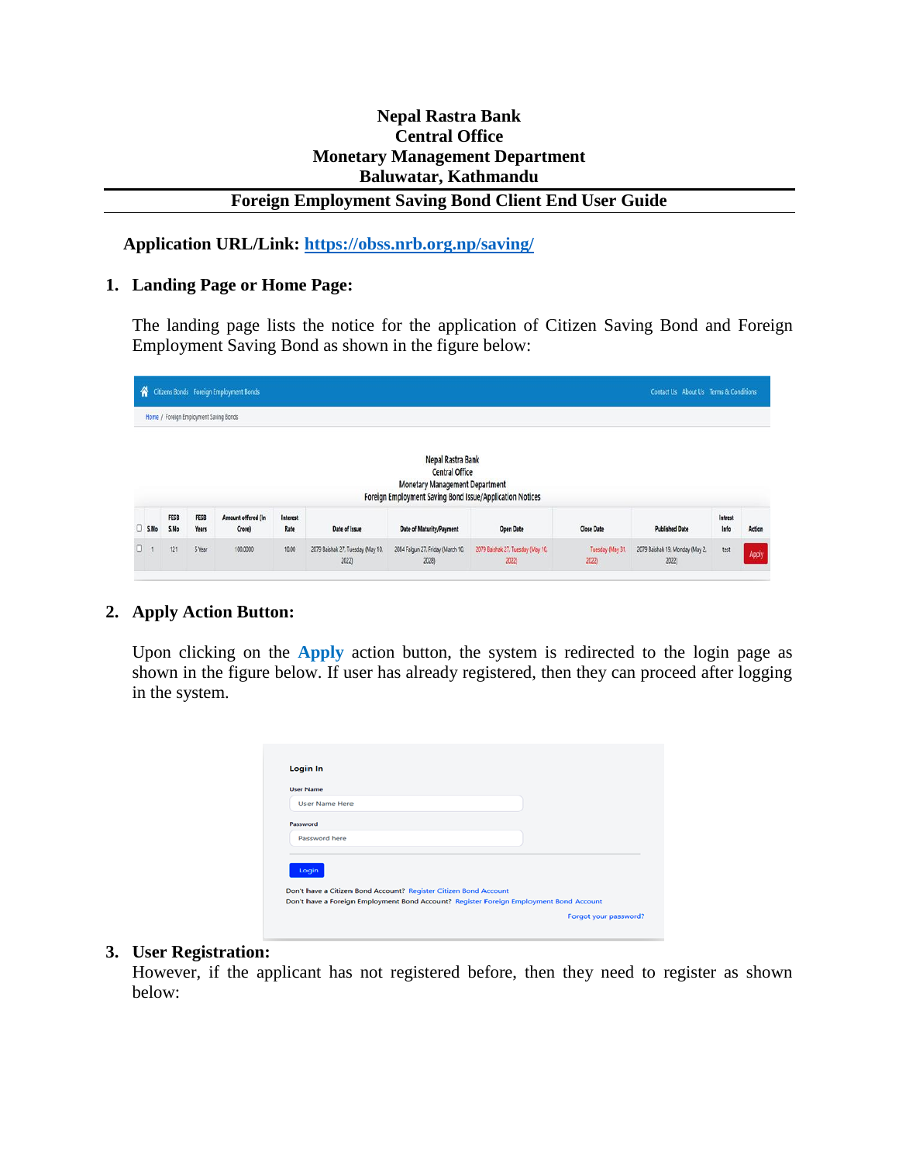# **Nepal Rastra Bank Central Office Monetary Management Department Baluwatar, Kathmandu**

### **Foreign Employment Saving Bond Client End User Guide**

 **Application URL/Link:<https://obss.nrb.org.np/saving/>**

#### **1. Landing Page or Home Page:**

The landing page lists the notice for the application of Citizen Saving Bond and Foreign Employment Saving Bond as shown in the figure below:

|        |                     |                                        | Citizens Bonds Foreign Employment Bonds |                  |                                            |                                                                                                                                                 |                                            |                          | Contact Us About Us Terms & Conditions   |                 |        |
|--------|---------------------|----------------------------------------|-----------------------------------------|------------------|--------------------------------------------|-------------------------------------------------------------------------------------------------------------------------------------------------|--------------------------------------------|--------------------------|------------------------------------------|-----------------|--------|
|        |                     | Home / Foreign Employment Saving Bonds |                                         |                  |                                            |                                                                                                                                                 |                                            |                          |                                          |                 |        |
|        |                     |                                        |                                         |                  |                                            | Nepal Rastra Bank<br><b>Central Office</b><br><b>Monetary Management Department</b><br>Foreign Employment Saving Bond Issue/Application Notices |                                            |                          |                                          |                 |        |
| S.Mo   | <b>FESB</b><br>S.No | <b>FESB</b><br>Years                   | Amount offered (In<br>Crore)            | Interest<br>Rate | Date of Issue                              | Date of Maturity/Payment                                                                                                                        | <b>Open Date</b>                           | <b>Close Date</b>        | <b>Published Date</b>                    | Intrest<br>Info | Action |
| $\Box$ | 121                 | 5 Year                                 | 100.0000                                | 10.00            | 2079 Baishak 27, Tuesday (May 10.<br>2022) | 2084 Falgun 27, Friday (March 10.<br>2028)                                                                                                      | 2079 Baishak 27, Tuesday (May 10.<br>2022) | Tuesday (May 31.<br>2022 | 2079 Baishak 19, Monday (May 2.<br>2022) | test            | Apply  |

## **2. Apply Action Button:**

Upon clicking on the **Apply** action button, the system is redirected to the login page as shown in the figure below. If user has already registered, then they can proceed after logging in the system.

| <b>User Name Here</b> |  |  |  |
|-----------------------|--|--|--|
| Password              |  |  |  |
| Password here         |  |  |  |
|                       |  |  |  |
| Login                 |  |  |  |

#### **3. User Registration:**

However, if the applicant has not registered before, then they need to register as shown below: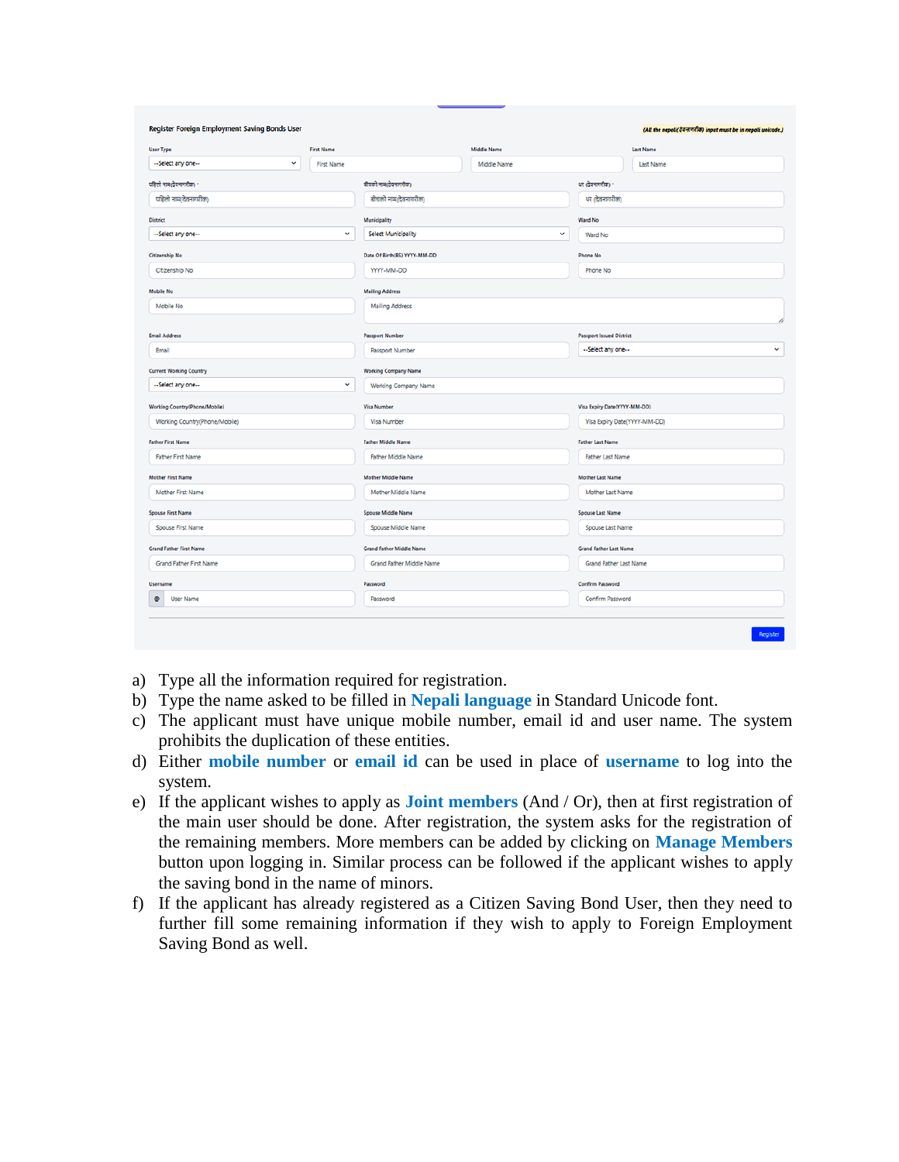| <b>User Type</b>               | <b>First Name</b>                 |                                 | <b>Middle Name</b> |                                 | <b>Last Name</b> |  |  |
|--------------------------------|-----------------------------------|---------------------------------|--------------------|---------------------------------|------------------|--|--|
| --Select any one--             | $\checkmark$<br><b>First Name</b> |                                 | Middle Name        |                                 | Last Name        |  |  |
| पहिलो नाम(देवनागरीक) *         |                                   | बीचको नाम(देवनागरीक)            |                    | थर (देवनागरीक) *                |                  |  |  |
| पहिलो नाम(देवनागरीक)           |                                   | बीचको नाम(देवनागरीक)            |                    | थर (देवनागरीक)                  |                  |  |  |
| <b>District</b>                |                                   | Municipality                    |                    | <b>Ward No</b>                  |                  |  |  |
| --Select any one--             | $\checkmark$                      | Select Municipality             | $\checkmark$       | Ward No                         |                  |  |  |
| <b>Citizenship No</b>          |                                   | Date Of Birth(BS) YYYY-MM-DD    |                    | <b>Phone No</b>                 |                  |  |  |
| Citizenship No                 |                                   | YYYY-MM-DD                      |                    | Phone No                        |                  |  |  |
| <b>Mobile No</b>               |                                   | <b>Mailing Address</b>          |                    |                                 |                  |  |  |
| Mobile No                      |                                   | <b>Mailing Address</b>          |                    |                                 |                  |  |  |
| <b>Email Address</b>           |                                   | <b>Passport Number</b>          |                    | <b>Passport Issued District</b> |                  |  |  |
| Email                          |                                   | Passport Number                 |                    | --Select any one--              |                  |  |  |
| <b>Current Working Country</b> |                                   | <b>Working Company Name</b>     |                    |                                 |                  |  |  |
| --Select any one--             | $\checkmark$                      | Working Company Name            |                    |                                 |                  |  |  |
| Working Country(Phone/Moblie)  |                                   | <b>Visa Number</b>              |                    | Visa Expiry Date(YYYY-MM-DD)    |                  |  |  |
| Working Country(Phone/Mobile)  |                                   | <b>Visa Number</b>              |                    | Visa Expiry Date(YYYY-MM-DD)    |                  |  |  |
| <b>Father First Name</b>       |                                   | <b>Father Middle Name</b>       |                    | <b>Father Last Name</b>         |                  |  |  |
| <b>Father First Name</b>       |                                   | <b>Father Middle Name</b>       |                    | <b>Father Last Name</b>         |                  |  |  |
| <b>Mother First Name</b>       |                                   | <b>Mother Middle Name</b>       |                    | <b>Mother Last Name</b>         |                  |  |  |
| Mother First Name              |                                   | Mother Middle Name              |                    | Mother Last Name                |                  |  |  |
| <b>Spouse First Name</b>       |                                   | <b>Spouse Middle Name</b>       |                    | <b>Spouse Last Name</b>         |                  |  |  |
| Spouse First Name              |                                   | Spouse Middle Name              |                    | Spouse Last Name                |                  |  |  |
| <b>Grand Father First Name</b> |                                   | <b>Grand Father Middle Name</b> |                    | <b>Grand Father Last Name</b>   |                  |  |  |
| Grand Father First Name        |                                   | Grand Father Middle Name        |                    | Grand Father Last Name          |                  |  |  |
| <b>Username</b>                |                                   | Password                        |                    | Confirm Password                |                  |  |  |
| $\bullet$<br><b>User Name</b>  |                                   | Password                        |                    | Confirm Password                |                  |  |  |

- a) Type all the information required for registration.
- b) Type the name asked to be filled in **Nepali language** in Standard Unicode font.
- c) The applicant must have unique mobile number, email id and user name. The system prohibits the duplication of these entities.
- d) Either **mobile number** or **email id** can be used in place of **username** to log into the system.
- e) If the applicant wishes to apply as **Joint members** (And / Or), then at first registration of the main user should be done. After registration, the system asks for the registration of the remaining members. More members can be added by clicking on **Manage Members** button upon logging in. Similar process can be followed if the applicant wishes to apply the saving bond in the name of minors.
- f) If the applicant has already registered as a Citizen Saving Bond User, then they need to further fill some remaining information if they wish to apply to Foreign Employment Saving Bond as well.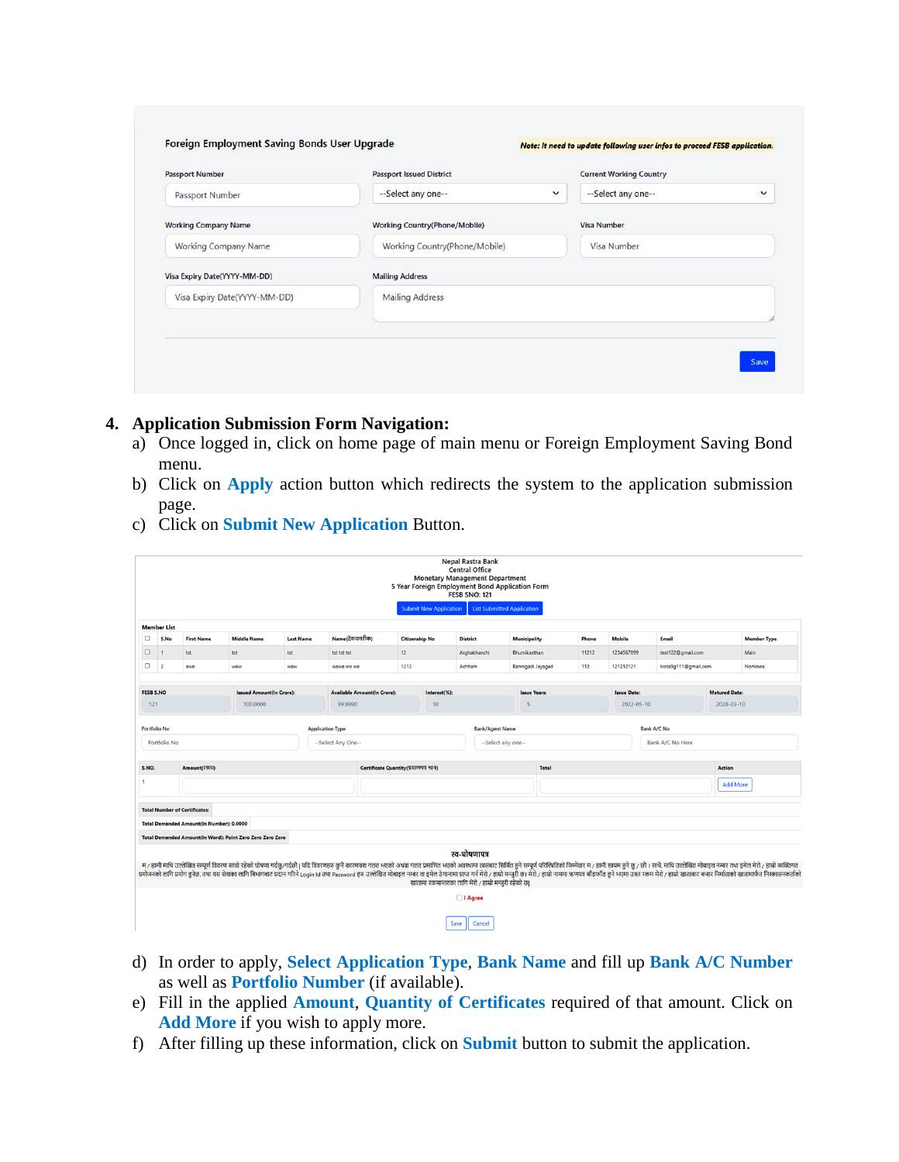| <b>Passport Number</b>       | <b>Passport Issued District</b>      | <b>Current Working Country</b>     |  |  |
|------------------------------|--------------------------------------|------------------------------------|--|--|
| Passport Number              | --Select any one--<br>$\checkmark$   | --Select any one--<br>$\checkmark$ |  |  |
| <b>Working Company Name</b>  | <b>Working Country(Phone/Moblie)</b> | <b>Visa Number</b>                 |  |  |
| Working Company Name         | Working Country(Phone/Mobile)        | Visa Number                        |  |  |
| Visa Expiry Date(YYYY-MM-DD) | <b>Mailing Address</b>               |                                    |  |  |
| Visa Expiry Date(YYYY-MM-DD) | <b>Mailing Address</b>               |                                    |  |  |
|                              |                                      |                                    |  |  |

## **4. Application Submission Form Navigation:**

- a) Once logged in, click on home page of main menu or Foreign Employment Saving Bond menu.
- b) Click on **Apply** action button which redirects the system to the application submission page.
- c) Click on **Submit New Application** Button.

|                                                                                                | <b>Nepal Rastra Bank</b><br><b>Central Office</b><br><b>Monetary Management Department</b><br>5 Year Foreign Employment Bond Application Form<br><b>FESB SNO: 121</b> |                                                 |                                                           |                                 |                    |                                      |                       |                                                      |                 |                                   |                     |                 |                                  |                  |                      |                                    |                                                                                                                                                                                                                                                                                                                                                                                                                                                                |
|------------------------------------------------------------------------------------------------|-----------------------------------------------------------------------------------------------------------------------------------------------------------------------|-------------------------------------------------|-----------------------------------------------------------|---------------------------------|--------------------|--------------------------------------|-----------------------|------------------------------------------------------|-----------------|-----------------------------------|---------------------|-----------------|----------------------------------|------------------|----------------------|------------------------------------|----------------------------------------------------------------------------------------------------------------------------------------------------------------------------------------------------------------------------------------------------------------------------------------------------------------------------------------------------------------------------------------------------------------------------------------------------------------|
|                                                                                                |                                                                                                                                                                       |                                                 |                                                           |                                 |                    |                                      |                       | <b>Submit New Application</b>                        |                 | <b>List Submitted Application</b> |                     |                 |                                  |                  |                      |                                    |                                                                                                                                                                                                                                                                                                                                                                                                                                                                |
|                                                                                                | <b>Member List</b>                                                                                                                                                    |                                                 |                                                           |                                 |                    |                                      |                       |                                                      |                 |                                   |                     |                 |                                  |                  |                      |                                    |                                                                                                                                                                                                                                                                                                                                                                                                                                                                |
| $\Box$                                                                                         | S.No                                                                                                                                                                  | <b>First Name</b>                               | <b>Middle Name</b>                                        | <b>Last Name</b>                | Name(देवनागरीक)    |                                      | <b>Citizenship No</b> |                                                      | <b>District</b> | <b>Municipality</b>               |                     | Phone           | <b>Mobile</b>                    |                  | <b>Email</b>         |                                    | <b>Member Type</b>                                                                                                                                                                                                                                                                                                                                                                                                                                             |
| $\Box$                                                                                         | $\overline{1}$                                                                                                                                                        | tst                                             | tst                                                       | tst                             | tst tst tst        | 12                                   |                       |                                                      | Arghakhanchi    | Bhumikasthan                      |                     | 11212           | 1234567899                       |                  | test122@gmail.com    |                                    | Main                                                                                                                                                                                                                                                                                                                                                                                                                                                           |
| $\Box$ 2                                                                                       |                                                                                                                                                                       | ewe                                             | wew                                                       | wew                             | wewe we we         | 1212                                 |                       |                                                      | Achham          | Bannigadi Jayagad                 |                     | 112             | 121212121                        |                  | bista9g111@gmail.com |                                    | Nominee                                                                                                                                                                                                                                                                                                                                                                                                                                                        |
|                                                                                                |                                                                                                                                                                       |                                                 |                                                           |                                 |                    |                                      |                       |                                                      |                 |                                   |                     |                 |                                  |                  |                      |                                    |                                                                                                                                                                                                                                                                                                                                                                                                                                                                |
| <b>FESB S.NO</b><br>121                                                                        |                                                                                                                                                                       |                                                 | 100,0000                                                  | <b>Issued Amount(In Crore):</b> |                    | <b>Available Amount(In Crore):</b>   |                       | Interest(%):                                         |                 | 5                                 | <b>Issue Years:</b> |                 | <b>Issue Date:</b><br>2022-05-10 |                  |                      | <b>Matured Date:</b><br>2028-03-10 |                                                                                                                                                                                                                                                                                                                                                                                                                                                                |
|                                                                                                |                                                                                                                                                                       |                                                 | 99,9990                                                   |                                 |                    |                                      |                       | 10 <sup>10</sup>                                     |                 |                                   |                     |                 |                                  |                  |                      |                                    |                                                                                                                                                                                                                                                                                                                                                                                                                                                                |
| <b>Portfolio No</b><br><b>Bank/Agent Name</b><br><b>Bank A/C No</b><br><b>Application Type</b> |                                                                                                                                                                       |                                                 |                                                           |                                 |                    |                                      |                       |                                                      |                 |                                   |                     |                 |                                  |                  |                      |                                    |                                                                                                                                                                                                                                                                                                                                                                                                                                                                |
|                                                                                                | Portfolio No                                                                                                                                                          |                                                 |                                                           |                                 | --Select Any One-- |                                      | --Select any one--    |                                                      |                 |                                   |                     |                 |                                  | Bank A/C No Here |                      |                                    |                                                                                                                                                                                                                                                                                                                                                                                                                                                                |
|                                                                                                |                                                                                                                                                                       |                                                 |                                                           |                                 |                    |                                      |                       |                                                      |                 |                                   |                     |                 |                                  |                  |                      |                                    |                                                                                                                                                                                                                                                                                                                                                                                                                                                                |
| S.NO.                                                                                          |                                                                                                                                                                       | Amount(रकम)                                     |                                                           |                                 |                    | Certificate Quantity(प्रमाणपत्र थान) |                       | <b>Total</b>                                         |                 |                                   |                     |                 |                                  |                  | <b>Action</b>        |                                    |                                                                                                                                                                                                                                                                                                                                                                                                                                                                |
| 1                                                                                              |                                                                                                                                                                       |                                                 |                                                           |                                 |                    |                                      |                       |                                                      |                 |                                   |                     | <b>Add More</b> |                                  |                  |                      |                                    |                                                                                                                                                                                                                                                                                                                                                                                                                                                                |
|                                                                                                |                                                                                                                                                                       |                                                 |                                                           |                                 |                    |                                      |                       |                                                      |                 |                                   |                     |                 |                                  |                  |                      |                                    |                                                                                                                                                                                                                                                                                                                                                                                                                                                                |
|                                                                                                |                                                                                                                                                                       | <b>Total Number of Certificates:</b>            |                                                           |                                 |                    |                                      |                       |                                                      |                 |                                   |                     |                 |                                  |                  |                      |                                    |                                                                                                                                                                                                                                                                                                                                                                                                                                                                |
|                                                                                                |                                                                                                                                                                       | <b>Total Demanded Amount(In Number): 0.0000</b> |                                                           |                                 |                    |                                      |                       |                                                      |                 |                                   |                     |                 |                                  |                  |                      |                                    |                                                                                                                                                                                                                                                                                                                                                                                                                                                                |
|                                                                                                |                                                                                                                                                                       |                                                 | Total Demanded Amount(In Word): Point Zero Zero Zero Zero |                                 |                    |                                      |                       |                                                      |                 |                                   |                     |                 |                                  |                  |                      |                                    |                                                                                                                                                                                                                                                                                                                                                                                                                                                                |
|                                                                                                |                                                                                                                                                                       |                                                 |                                                           |                                 |                    |                                      |                       | खातामा रकमान्तरका लागि मेरो / हाम्रो मन्जरी रहेको छ। | स्व-घोषणापत्र   |                                   |                     |                 |                                  |                  |                      |                                    | म / हामी माथि उल्लेखित सम्पूर्ण विवरण साबो रहेको घोषणा गर्दछ/गर्दछौ   यदि विवरणहरु कुनै कारणवश गलत भएको अथवा गलत प्रमाणित भएको अत्यसा तसबाट सिर्जित हुने सम्पूर्ण परिस्थितिको जिम्मेवार म / हामी स्वयम हुने छ / छौ । साथै, मा<br>प्रयोजनको तागि प्रयोग हनेछ, तथा यस सेवाका तागि बिभागबाट प्रदान गरिने Login Id तथा Password हरु उत्तेखित मोबाइत नम्बर वा इमेत ठेगानामा प्राप्त गर्न मेरो / हाम्रो गजरी छ । मेरो / हाम्रो नाममा ऋणपत्र बाँडफाँड हने भएमा उस्त र |
|                                                                                                |                                                                                                                                                                       |                                                 |                                                           |                                 |                    |                                      |                       |                                                      | $\Box$ I Agree  |                                   |                     |                 |                                  |                  |                      |                                    |                                                                                                                                                                                                                                                                                                                                                                                                                                                                |
|                                                                                                |                                                                                                                                                                       |                                                 |                                                           |                                 |                    |                                      |                       | Save                                                 | Cancel          |                                   |                     |                 |                                  |                  |                      |                                    |                                                                                                                                                                                                                                                                                                                                                                                                                                                                |

- d) In order to apply, **Select Application Type**, **Bank Name** and fill up **Bank A/C Number** as well as **Portfolio Number** (if available).
- e) Fill in the applied **Amount**, **Quantity of Certificates** required of that amount. Click on **Add More** if you wish to apply more.
- f) After filling up these information, click on **Submit** button to submit the application.